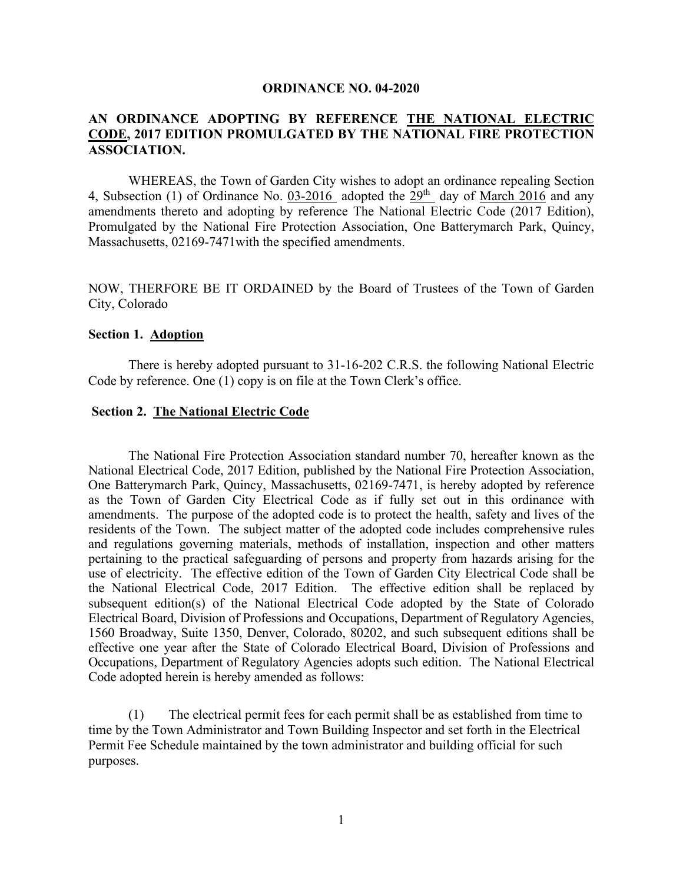#### **ORDINANCE NO. 04-2020**

## **AN ORDINANCE ADOPTING BY REFERENCE THE NATIONAL ELECTRIC CODE, 2017 EDITION PROMULGATED BY THE NATIONAL FIRE PROTECTION ASSOCIATION.**

WHEREAS, the Town of Garden City wishes to adopt an ordinance repealing Section 4, Subsection (1) of Ordinance No. 03-2016 adopted the  $29<sup>th</sup>$  day of March 2016 and any amendments thereto and adopting by reference The National Electric Code (2017 Edition), Promulgated by the National Fire Protection Association, One Batterymarch Park, Quincy, Massachusetts, 02169-7471with the specified amendments.

NOW, THERFORE BE IT ORDAINED by the Board of Trustees of the Town of Garden City, Colorado

### **Section 1. Adoption**

There is hereby adopted pursuant to 31-16-202 C.R.S. the following National Electric Code by reference. One (1) copy is on file at the Town Clerk's office.

### **Section 2. The National Electric Code**

The National Fire Protection Association standard number 70, hereafter known as the National Electrical Code, 2017 Edition, published by the National Fire Protection Association, One Batterymarch Park, Quincy, Massachusetts, 02169-7471, is hereby adopted by reference as the Town of Garden City Electrical Code as if fully set out in this ordinance with amendments. The purpose of the adopted code is to protect the health, safety and lives of the residents of the Town. The subject matter of the adopted code includes comprehensive rules and regulations governing materials, methods of installation, inspection and other matters pertaining to the practical safeguarding of persons and property from hazards arising for the use of electricity. The effective edition of the Town of Garden City Electrical Code shall be the National Electrical Code, 2017 Edition. The effective edition shall be replaced by subsequent edition(s) of the National Electrical Code adopted by the State of Colorado Electrical Board, Division of Professions and Occupations, Department of Regulatory Agencies, 1560 Broadway, Suite 1350, Denver, Colorado, 80202, and such subsequent editions shall be effective one year after the State of Colorado Electrical Board, Division of Professions and Occupations, Department of Regulatory Agencies adopts such edition. The National Electrical Code adopted herein is hereby amended as follows:

(1) The electrical permit fees for each permit shall be as established from time to time by the Town Administrator and Town Building Inspector and set forth in the Electrical Permit Fee Schedule maintained by the town administrator and building official for such purposes.